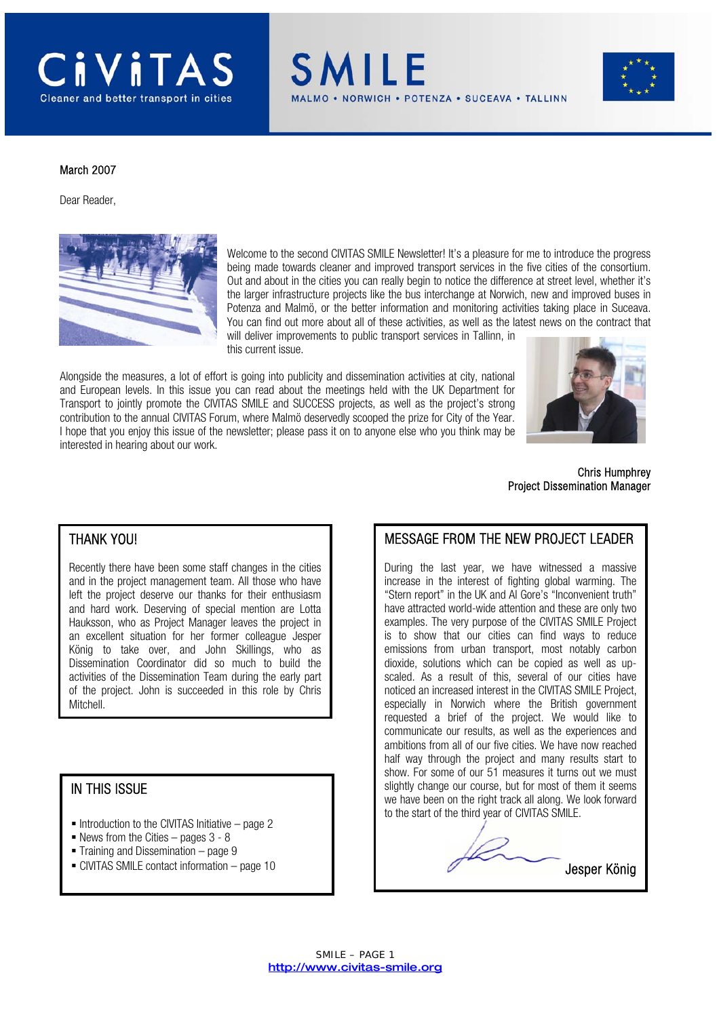

SMILE ORWICH . POTENZA . SUCEAVA . TALLINN



#### March 2007

Dear Reader,



Welcome to the second CIVITAS SMILE Newsletter! It's a pleasure for me to introduce the progress being made towards cleaner and improved transport services in the five cities of the consortium. Out and about in the cities you can really begin to notice the difference at street level, whether it's the larger infrastructure projects like the bus interchange at Norwich, new and improved buses in Potenza and Malmö, or the better information and monitoring activities taking place in Suceava. You can find out more about all of these activities, as well as the latest news on the contract that will deliver improvements to public transport services in Tallinn, in

this current issue.

Alongside the measures, a lot of effort is going into publicity and dissemination activities at city, national and European levels. In this issue you can read about the meetings held with the UK Department for Transport to jointly promote the CIVITAS SMILE and SUCCESS projects, as well as the project's strong contribution to the annual CIVITAS Forum, where Malmö deservedly scooped the prize for City of the Year. I hope that you enjoy this issue of the newsletter; please pass it on to anyone else who you think may be interested in hearing about our work.



 Chris Humphrey Project Dissemination Manager

Jesper König

#### THANK YOU!

Recently there have been some staff changes in the cities and in the project management team. All those who have left the project deserve our thanks for their enthusiasm and hard work. Deserving of special mention are Lotta Hauksson, who as Project Manager leaves the project in an excellent situation for her former colleague Jesper König to take over, and John Skillings, who as Dissemination Coordinator did so much to build the activities of the Dissemination Team during the early part of the project. John is succeeded in this role by Chris Mitchell.

#### IN THIS ISSUE

- $\blacksquare$  Introduction to the CIVITAS Initiative page 2
- News from the Cities pages  $3 8$
- $\blacksquare$  Training and Dissemination page 9
- CIVITAS SMILE contact information page 10



During the last year, we have witnessed a massive increase in the interest of fighting global warming. The "Stern report" in the UK and Al Gore's "Inconvenient truth" have attracted world-wide attention and these are only two examples. The very purpose of the CIVITAS SMILE Project is to show that our cities can find ways to reduce emissions from urban transport, most notably carbon dioxide, solutions which can be copied as well as upscaled. As a result of this, several of our cities have noticed an increased interest in the CIVITAS SMILE Project, especially in Norwich where the British government requested a brief of the project. We would like to communicate our results, as well as the experiences and ambitions from all of our five cities. We have now reached half way through the project and many results start to show. For some of our 51 measures it turns out we must slightly change our course, but for most of them it seems we have been on the right track all along. We look forward to the start of the third year of CIVITAS SMILE.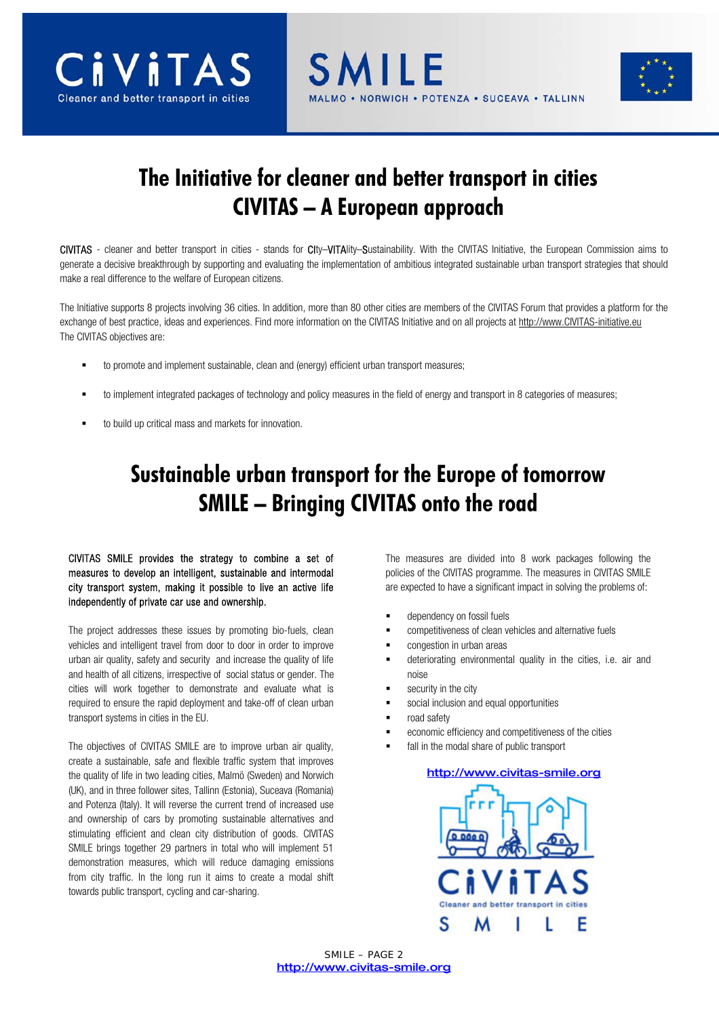





# **The Initiative for cleaner and better transport in cities CIVITAS – A European approach**

CIVITAS - cleaner and better transport in cities - stands for CIty–VITAlity–Sustainability. With the CIVITAS Initiative, the European Commission aims to generate a decisive breakthrough by supporting and evaluating the implementation of ambitious integrated sustainable urban transport strategies that should make a real difference to the welfare of European citizens.

The Initiative supports 8 projects involving 36 cities. In addition, more than 80 other cities are members of the CIVITAS Forum that provides a platform for the exchange of best practice, ideas and experiences. Find more information on the CIVITAS Initiative and on all projects at http://www.CIVITAS-initiative.eu The CIVITAS objectives are:

- to promote and implement sustainable, clean and (energy) efficient urban transport measures;
- to implement integrated packages of technology and policy measures in the field of energy and transport in 8 categories of measures;
- to build up critical mass and markets for innovation.

# **Sustainable urban transport for the Europe of tomorrow SMILE – Bringing CIVITAS onto the road**

CIVITAS SMILE provides the strategy to combine a set of measures to develop an intelligent, sustainable and intermodal city transport system, making it possible to live an active life independently of private car use and ownership.

The project addresses these issues by promoting bio-fuels, clean vehicles and intelligent travel from door to door in order to improve urban air quality, safety and security and increase the quality of life and health of all citizens, irrespective of social status or gender. The cities will work together to demonstrate and evaluate what is required to ensure the rapid deployment and take-off of clean urban transport systems in cities in the EU.

The objectives of CIVITAS SMILE are to improve urban air quality, create a sustainable, safe and flexible traffic system that improves the quality of life in two leading cities, Malmö (Sweden) and Norwich (UK), and in three follower sites, Tallinn (Estonia), Suceava (Romania) and Potenza (Italy). It will reverse the current trend of increased use and ownership of cars by promoting sustainable alternatives and stimulating efficient and clean city distribution of goods. CIVITAS SMILE brings together 29 partners in total who will implement 51 demonstration measures, which will reduce damaging emissions from city traffic. In the long run it aims to create a modal shift towards public transport, cycling and car-sharing.

The measures are divided into 8 work packages following the policies of the CIVITAS programme. The measures in CIVITAS SMILE are expected to have a significant impact in solving the problems of:

- dependency on fossil fuels
- competitiveness of clean vehicles and alternative fuels
- congestion in urban areas
- deteriorating environmental quality in the cities, i.e. air and noise
- security in the city
- social inclusion and equal opportunities
- road safety
- economic efficiency and competitiveness of the cities
- fall in the modal share of public transport

#### http://www.civitas-smile.org

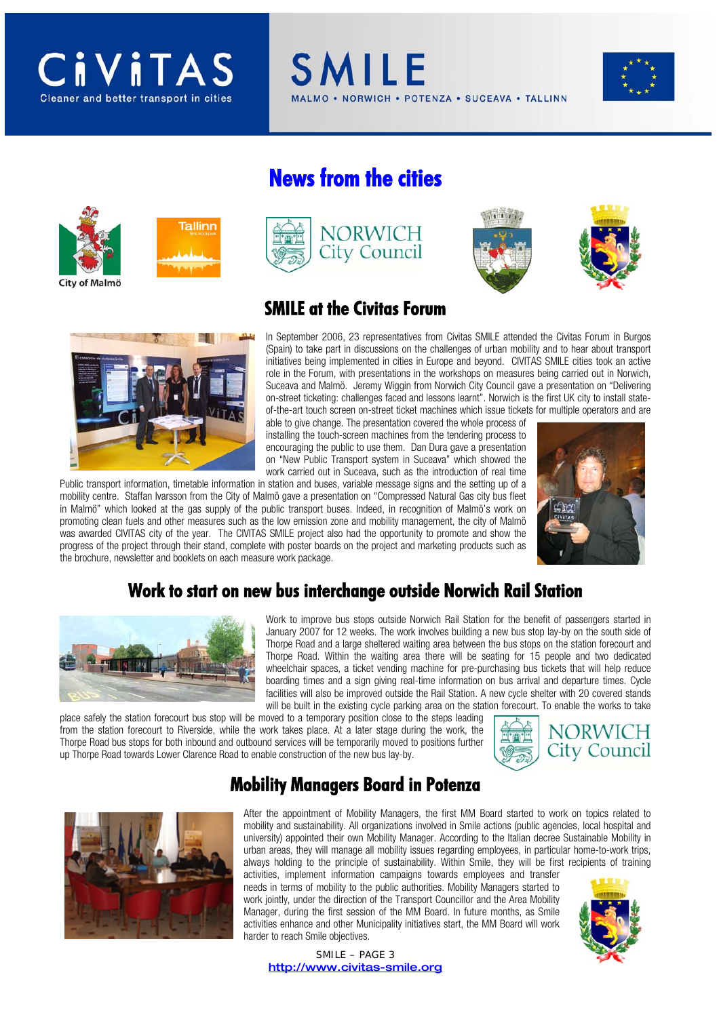# CiViTAS



# **News from the cities**











#### **SMILE at the Civitas Forum**

In September 2006, 23 representatives from Civitas SMILE attended the Civitas Forum in Burgos (Spain) to take part in discussions on the challenges of urban mobility and to hear about transport initiatives being implemented in cities in Europe and beyond. CIVITAS SMILE cities took an active role in the Forum, with presentations in the workshops on measures being carried out in Norwich, Suceava and Malmö. Jeremy Wiggin from Norwich City Council gave a presentation on "Delivering on-street ticketing: challenges faced and lessons learnt". Norwich is the first UK city to install stateof-the-art touch screen on-street ticket machines which issue tickets for multiple operators and are

able to give change. The presentation covered the whole process of installing the touch-screen machines from the tendering process to encouraging the public to use them. Dan Dura gave a presentation on "New Public Transport system in Suceava" which showed the work carried out in Suceava, such as the introduction of real time

Public transport information, timetable information in station and buses, variable message signs and the setting up of a mobility centre. Staffan Ivarsson from the City of Malmö gave a presentation on "Compressed Natural Gas city bus fleet in Malmö" which looked at the gas supply of the public transport buses. Indeed, in recognition of Malmö's work on promoting clean fuels and other measures such as the low emission zone and mobility management, the city of Malmö was awarded CIVITAS city of the year. The CIVITAS SMILE project also had the opportunity to promote and show the progress of the project through their stand, complete with poster boards on the project and marketing products such as the brochure, newsletter and booklets on each measure work package.



#### **Work to start on new bus interchange outside Norwich Rail Station**



Work to improve bus stops outside Norwich Rail Station for the benefit of passengers started in January 2007 for 12 weeks. The work involves building a new bus stop lay-by on the south side of Thorpe Road and a large sheltered waiting area between the bus stops on the station forecourt and Thorpe Road. Within the waiting area there will be seating for 15 people and two dedicated wheelchair spaces, a ticket vending machine for pre-purchasing bus tickets that will help reduce boarding times and a sign giving real-time information on bus arrival and departure times. Cycle facilities will also be improved outside the Rail Station. A new cycle shelter with 20 covered stands will be built in the existing cycle parking area on the station forecourt. To enable the works to take

place safely the station forecourt bus stop will be moved to a temporary position close to the steps leading from the station forecourt to Riverside, while the work takes place. At a later stage during the work, the Thorpe Road bus stops for both inbound and outbound services will be temporarily moved to positions further up Thorpe Road towards Lower Clarence Road to enable construction of the new bus lay-by.



### **Mobility Managers Board in Potenza**



After the appointment of Mobility Managers, the first MM Board started to work on topics related to mobility and sustainability. All organizations involved in Smile actions (public agencies, local hospital and university) appointed their own Mobility Manager. According to the Italian decree Sustainable Mobility in urban areas, they will manage all mobility issues regarding employees, in particular home-to-work trips, always holding to the principle of sustainability. Within Smile, they will be first recipients of training

activities, implement information campaigns towards employees and transfer needs in terms of mobility to the public authorities. Mobility Managers started to work jointly, under the direction of the Transport Councillor and the Area Mobility Manager, during the first session of the MM Board. In future months, as Smile activities enhance and other Municipality initiatives start, the MM Board will work harder to reach Smile objectives.



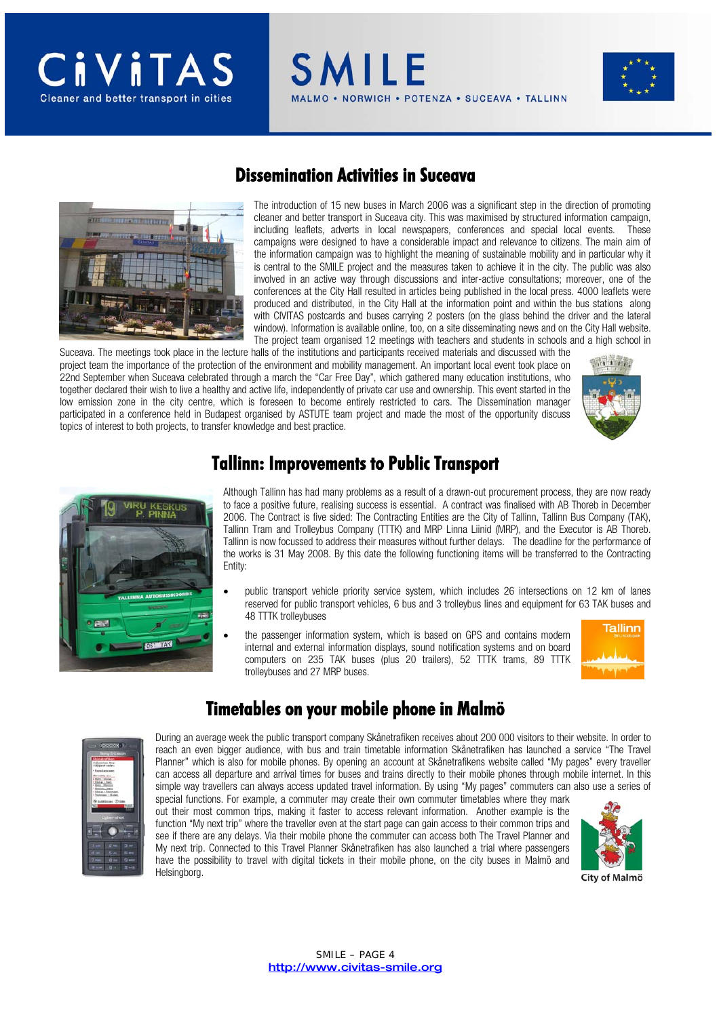

#### **Dissemination Activities in Suceava**

**SMILE** 

The introduction of 15 new buses in March 2006 was a significant step in the direction of promoting cleaner and better transport in Suceava city. This was maximised by structured information campaign, including leaflets, adverts in local newspapers, conferences and special local events. These campaigns were designed to have a considerable impact and relevance to citizens. The main aim of the information campaign was to highlight the meaning of sustainable mobility and in particular why it is central to the SMILE project and the measures taken to achieve it in the city. The public was also involved in an active way through discussions and inter-active consultations; moreover, one of the conferences at the City Hall resulted in articles being published in the local press. 4000 leaflets were produced and distributed, in the City Hall at the information point and within the bus stations along with CIVITAS postcards and buses carrying 2 posters (on the glass behind the driver and the lateral window). Information is available online, too, on a site disseminating news and on the City Hall website. The project team organised 12 meetings with teachers and students in schools and a high school in

NORWICH . POTENZA . SUCEAVA . TALLINN

Suceava. The meetings took place in the lecture halls of the institutions and participants received materials and discussed with the project team the importance of the protection of the environment and mobility management. An important local event took place on 22nd September when Suceava celebrated through a march the "Car Free Day", which gathered many education institutions, who together declared their wish to live a healthy and active life, independently of private car use and ownership. This event started in the low emission zone in the city centre, which is foreseen to become entirely restricted to cars. The Dissemination manager participated in a conference held in Budapest organised by ASTUTE team project and made the most of the opportunity discuss topics of interest to both projects, to transfer knowledge and best practice.





#### **Tallinn: Improvements to Public Transport**

Although Tallinn has had many problems as a result of a drawn-out procurement process, they are now ready to face a positive future, realising success is essential. A contract was finalised with AB Thoreb in December 2006. The Contract is five sided: The Contracting Entities are the City of Tallinn, Tallinn Bus Company (TAK), Tallinn Tram and Trolleybus Company (TTTK) and MRP Linna Liinid (MRP), and the Executor is AB Thoreb. Tallinn is now focussed to address their measures without further delays. The deadline for the performance of the works is 31 May 2008. By this date the following functioning items will be transferred to the Contracting Entity:

- public transport vehicle priority service system, which includes 26 intersections on 12 km of lanes reserved for public transport vehicles, 6 bus and 3 trolleybus lines and equipment for 63 TAK buses and 48 TTTK trolleybuses
- the passenger information system, which is based on GPS and contains modern internal and external information displays, sound notification systems and on board computers on 235 TAK buses (plus 20 trailers), 52 TTTK trams, 89 TTTK trolleybuses and 27 MRP buses.



#### **Timetables on your mobile phone in Malmö**



During an average week the public transport company Skånetrafiken receives about 200 000 visitors to their website. In order to reach an even bigger audience, with bus and train timetable information Skånetrafiken has launched a service "The Travel Planner" which is also for mobile phones. By opening an account at Skånetrafikens website called "My pages" every traveller can access all departure and arrival times for buses and trains directly to their mobile phones through mobile internet. In this simple way travellers can always access updated travel information. By using "My pages" commuters can also use a series of

special functions. For example, a commuter may create their own commuter timetables where they mark out their most common trips, making it faster to access relevant information. Another example is the function "My next trip" where the traveller even at the start page can gain access to their common trips and see if there are any delays. Via their mobile phone the commuter can access both The Travel Planner and My next trip. Connected to this Travel Planner Skånetrafiken has also launched a trial where passengers have the possibility to travel with digital tickets in their mobile phone, on the city buses in Malmö and Helsingborg.

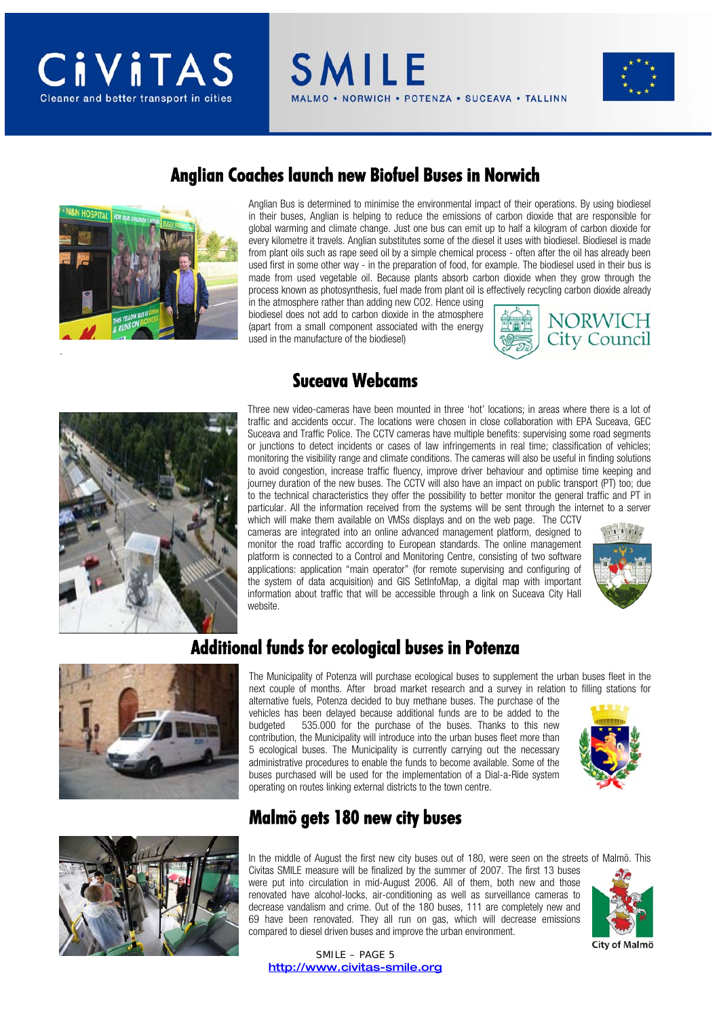**SMILE** NORWICH . POTENZA . SUCEAVA . TALLINN





#### **Anglian Coaches launch new Biofuel Buses in Norwich**

Anglian Bus is determined to minimise the environmental impact of their operations. By using biodiesel in their buses, Anglian is helping to reduce the emissions of carbon dioxide that are responsible for global warming and climate change. Just one bus can emit up to half a kilogram of carbon dioxide for every kilometre it travels. Anglian substitutes some of the diesel it uses with biodiesel. Biodiesel is made from plant oils such as rape seed oil by a simple chemical process - often after the oil has already been used first in some other way - in the preparation of food, for example. The biodiesel used in their bus is made from used vegetable oil. Because plants absorb carbon dioxide when they grow through the process known as photosynthesis, fuel made from plant oil is effectively recycling carbon dioxide already

in the atmosphere rather than adding new CO2. Hence using biodiesel does not add to carbon dioxide in the atmosphere (apart from a small component associated with the energy used in the manufacture of the biodiesel)





#### **Suceava Webcams**

Three new video-cameras have been mounted in three 'hot' locations; in areas where there is a lot of traffic and accidents occur. The locations were chosen in close collaboration with EPA Suceava, GEC Suceava and Traffic Police. The CCTV cameras have multiple benefits: supervising some road segments or junctions to detect incidents or cases of law infringements in real time; classification of vehicles; monitoring the visibility range and climate conditions. The cameras will also be useful in finding solutions to avoid congestion, increase traffic fluency, improve driver behaviour and optimise time keeping and journey duration of the new buses. The CCTV will also have an impact on public transport (PT) too; due to the technical characteristics they offer the possibility to better monitor the general traffic and PT in particular. All the information received from the systems will be sent through the internet to a server

which will make them available on VMSs displays and on the web page. The CCTV cameras are integrated into an online advanced management platform, designed to monitor the road traffic according to European standards. The online management platform is connected to a Control and Monitoring Centre, consisting of two software applications: application "main operator" (for remote supervising and configuring of the system of data acquisition) and GIS SetInfoMap, a digital map with important information about traffic that will be accessible through a link on Suceava City Hall website.



#### **Additional funds for ecological buses in Potenza**



The Municipality of Potenza will purchase ecological buses to supplement the urban buses fleet in the next couple of months. After broad market research and a survey in relation to filling stations for alternative fuels, Potenza decided to buy methane buses. The purchase of the vehicles has been delayed because additional funds are to be added to the budgeted 535.000 for the purchase of the buses. Thanks to this new contribution, the Municipality will introduce into the urban buses fleet more than 5 ecological buses. The Municipality is currently carrying out the necessary administrative procedures to enable the funds to become available. Some of the buses purchased will be used for the implementation of a Dial-a-Ride system operating on routes linking external districts to the town centre.





#### **Malmö gets 180 new city buses**

In the middle of August the first new city buses out of 180, were seen on the streets of Malmö. This Civitas SMILE measure will be finalized by the summer of 2007. The first 13 buses were put into circulation in mid-August 2006. All of them, both new and those renovated have alcohol-locks, air-conditioning as well as surveillance cameras to decrease vandalism and crime. Out of the 180 buses, 111 are completely new and 69 have been renovated. They all run on gas, which will decrease emissions compared to diesel driven buses and improve the urban environment.



**City of Malmö** 

SMILE – PAGE 5 http://www.civitas-smile.org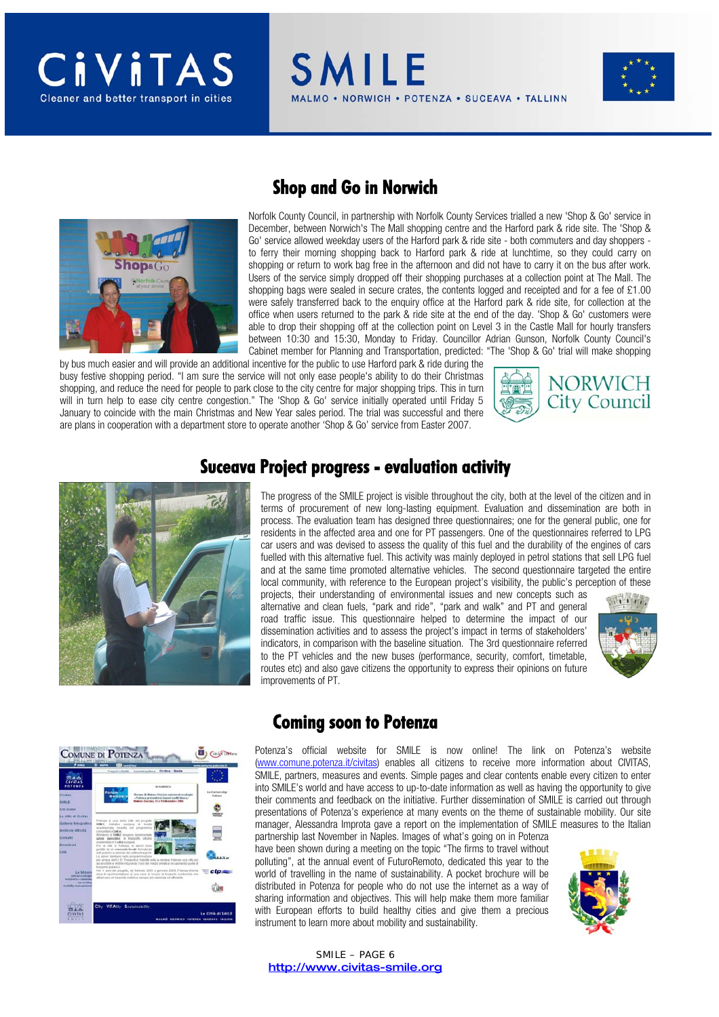NORWICH . POTENZA . SUCEAVA . TALLINN



#### **Shop and Go in Norwich**

**SMILE** 

Norfolk County Council, in partnership with Norfolk County Services trialled a new 'Shop & Go' service in December, between Norwich's The Mall shopping centre and the Harford park & ride site. The 'Shop & Go' service allowed weekday users of the Harford park & ride site - both commuters and day shoppers to ferry their morning shopping back to Harford park & ride at lunchtime, so they could carry on shopping or return to work bag free in the afternoon and did not have to carry it on the bus after work. Users of the service simply dropped off their shopping purchases at a collection point at The Mall. The shopping bags were sealed in secure crates, the contents logged and receipted and for a fee of £1.00 were safely transferred back to the enquiry office at the Harford park & ride site, for collection at the office when users returned to the park & ride site at the end of the day. 'Shop & Go' customers were able to drop their shopping off at the collection point on Level 3 in the Castle Mall for hourly transfers between 10:30 and 15:30, Monday to Friday. Councillor Adrian Gunson, Norfolk County Council's Cabinet member for Planning and Transportation, predicted: "The 'Shop & Go' trial will make shopping

by bus much easier and will provide an additional incentive for the public to use Harford park & ride during the busy festive shopping period. "I am sure the service will not only ease people's ability to do their Christmas shopping, and reduce the need for people to park close to the city centre for major shopping trips. This in turn will in turn help to ease city centre congestion." The 'Shop & Go' service initially operated until Friday 5 January to coincide with the main Christmas and New Year sales period. The trial was successful and there are plans in cooperation with a department store to operate another 'Shop & Go' service from Easter 2007.





#### **Suceava Project progress - evaluation activity**

The progress of the SMILE project is visible throughout the city, both at the level of the citizen and in terms of procurement of new long-lasting equipment. Evaluation and dissemination are both in process. The evaluation team has designed three questionnaires; one for the general public, one for residents in the affected area and one for PT passengers. One of the questionnaires referred to LPG car users and was devised to assess the quality of this fuel and the durability of the engines of cars fuelled with this alternative fuel. This activity was mainly deployed in petrol stations that sell LPG fuel and at the same time promoted alternative vehicles. The second questionnaire targeted the entire local community, with reference to the European project's visibility, the public's perception of these

projects, their understanding of environmental issues and new concepts such as alternative and clean fuels, "park and ride", "park and walk" and PT and general road traffic issue. This questionnaire helped to determine the impact of our dissemination activities and to assess the project's impact in terms of stakeholders' indicators, in comparison with the baseline situation. The 3rd questionnaire referred to the PT vehicles and the new buses (performance, security, comfort, timetable, routes etc) and also gave citizens the opportunity to express their opinions on future improvements of PT.





#### **Coming soon to Potenza**

Potenza's official website for SMILE is now online! The link on Potenza's website (www.comune.potenza.it/civitas) enables all citizens to receive more information about CIVITAS, SMILE, partners, measures and events. Simple pages and clear contents enable every citizen to enter into SMILE's world and have access to up-to-date information as well as having the opportunity to give their comments and feedback on the initiative. Further dissemination of SMILE is carried out through presentations of Potenza's experience at many events on the theme of sustainable mobility. Our site manager, Alessandra Improta gave a report on the implementation of SMILE measures to the Italian partnership last November in Naples. Images of what's going on in Potenza

have been shown during a meeting on the topic "The firms to travel without polluting", at the annual event of FuturoRemoto, dedicated this year to the world of travelling in the name of sustainability. A pocket brochure will be distributed in Potenza for people who do not use the internet as a way of sharing information and objectives. This will help make them more familiar with European efforts to build healthy cities and give them a precious instrument to learn more about mobility and sustainability.

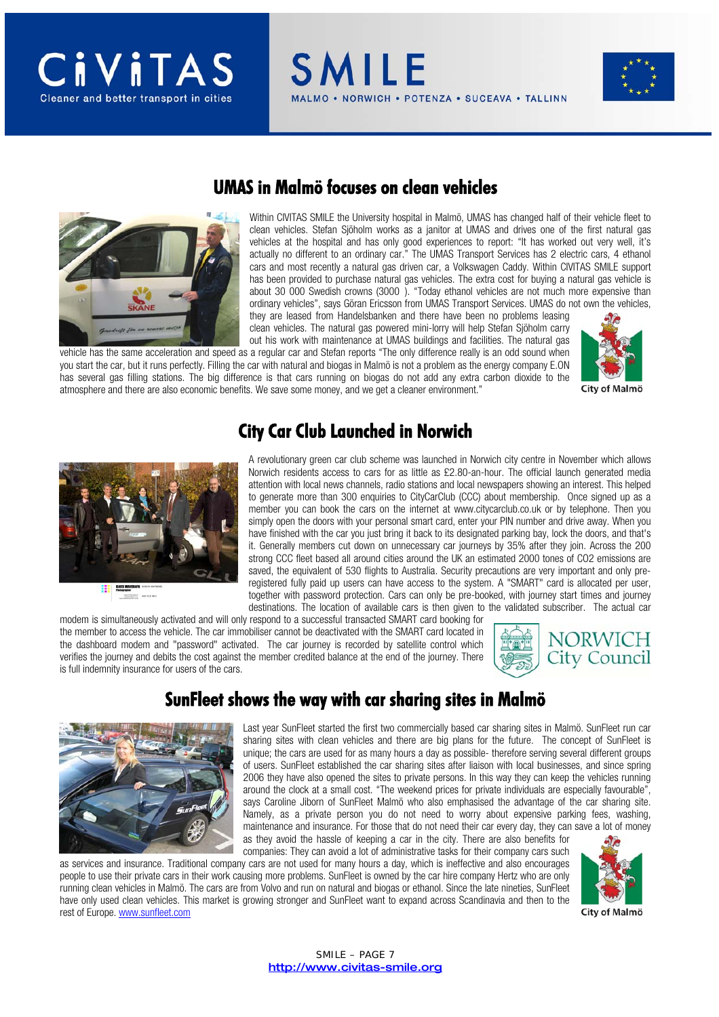

#### **UMAS in Malmö focuses on clean vehicles**

**SMILE** 

Within CIVITAS SMILE the University hospital in Malmö, UMAS has changed half of their vehicle fleet to clean vehicles. Stefan Sjöholm works as a janitor at UMAS and drives one of the first natural gas vehicles at the hospital and has only good experiences to report: "It has worked out very well, it's actually no different to an ordinary car." The UMAS Transport Services has 2 electric cars, 4 ethanol cars and most recently a natural gas driven car, a Volkswagen Caddy. Within CIVITAS SMILE support has been provided to purchase natural gas vehicles. The extra cost for buying a natural gas vehicle is about 30 000 Swedish crowns (3000 ). "Today ethanol vehicles are not much more expensive than ordinary vehicles", says Göran Ericsson from UMAS Transport Services. UMAS do not own the vehicles, they are leased from Handelsbanken and there have been no problems leasing

NORWICH . POTENZA . SUCEAVA . TALLINN

clean vehicles. The natural gas powered mini-lorry will help Stefan Sjöholm carry out his work with maintenance at UMAS buildings and facilities. The natural gas vehicle has the same acceleration and speed as a regular car and Stefan reports "The only difference really is an odd sound when

you start the car, but it runs perfectly. Filling the car with natural and biogas in Malmö is not a problem as the energy company E.ON has several gas filling stations. The big difference is that cars running on biogas do not add any extra carbon dioxide to the atmosphere and there are also economic benefits. We save some money, and we get a cleaner environment."



#### **City Car Club Launched in Norwich**



A revolutionary green car club scheme was launched in Norwich city centre in November which allows Norwich residents access to cars for as little as £2.80-an-hour. The official launch generated media attention with local news channels, radio stations and local newspapers showing an interest. This helped to generate more than 300 enquiries to CityCarClub (CCC) about membership. Once signed up as a member you can book the cars on the internet at www.citycarclub.co.uk or by telephone. Then you simply open the doors with your personal smart card, enter your PIN number and drive away. When you have finished with the car you just bring it back to its designated parking bay, lock the doors, and that's it. Generally members cut down on unnecessary car journeys by 35% after they join. Across the 200 strong CCC fleet based all around cities around the UK an estimated 2000 tones of CO2 emissions are saved, the equivalent of 530 flights to Australia. Security precautions are very important and only preregistered fully paid up users can have access to the system. A "SMART" card is allocated per user, together with password protection. Cars can only be pre-booked, with journey start times and journey destinations. The location of available cars is then given to the validated subscriber. The actual car

modem is simultaneously activated and will only respond to a successful transacted SMART card booking for the member to access the vehicle. The car immobiliser cannot be deactivated with the SMART card located in the dashboard modem and "password" activated. The car journey is recorded by satellite control which verifies the journey and debits the cost against the member credited balance at the end of the journey. There is full indemnity insurance for users of the cars.



### **SunFleet shows the way with car sharing sites in Malmö**



Last year SunFleet started the first two commercially based car sharing sites in Malmö. SunFleet run car sharing sites with clean vehicles and there are big plans for the future. The concept of SunFleet is unique; the cars are used for as many hours a day as possible- therefore serving several different groups of users. SunFleet established the car sharing sites after liaison with local businesses, and since spring 2006 they have also opened the sites to private persons. In this way they can keep the vehicles running around the clock at a small cost. "The weekend prices for private individuals are especially favourable", says Caroline Jiborn of SunFleet Malmö who also emphasised the advantage of the car sharing site. Namely, as a private person you do not need to worry about expensive parking fees, washing, maintenance and insurance. For those that do not need their car every day, they can save a lot of money as they avoid the hassle of keeping a car in the city. There are also benefits for

companies: They can avoid a lot of administrative tasks for their company cars such as services and insurance. Traditional company cars are not used for many hours a day, which is ineffective and also encourages people to use their private cars in their work causing more problems. SunFleet is owned by the car hire company Hertz who are only running clean vehicles in Malmö. The cars are from Volvo and run on natural and biogas or ethanol. Since the late nineties, SunFleet have only used clean vehicles. This market is growing stronger and SunFleet want to expand across Scandinavia and then to the rest of Europe. www.sunfleet.com

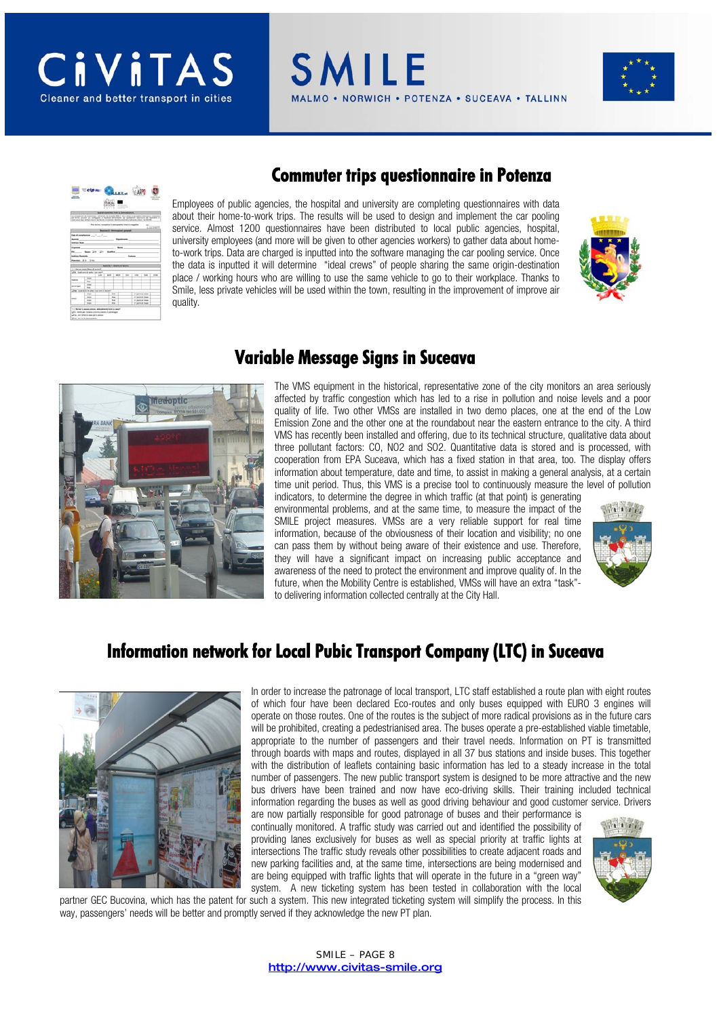

**SMILE** NORWICH . POTENZA . SUCEAVA . TALLINN



# Cheese CAPP ID 近新 国

#### **Commuter trips questionnaire in Potenza**

Employees of public agencies, the hospital and university are completing questionnaires with data about their home-to-work trips. The results will be used to design and implement the car pooling service. Almost 1200 questionnaires have been distributed to local public agencies, hospital, university employees (and more will be given to other agencies workers) to gather data about hometo-work trips. Data are charged is inputted into the software managing the car pooling service. Once the data is inputted it will determine "ideal crews" of people sharing the same origin-destination place / working hours who are willing to use the same vehicle to go to their workplace. Thanks to Smile, less private vehicles will be used within the town, resulting in the improvement of improve air quality.





#### **Variable Message Signs in Suceava**

The VMS equipment in the historical, representative zone of the city monitors an area seriously affected by traffic congestion which has led to a rise in pollution and noise levels and a poor quality of life. Two other VMSs are installed in two demo places, one at the end of the Low Emission Zone and the other one at the roundabout near the eastern entrance to the city. A third VMS has recently been installed and offering, due to its technical structure, qualitative data about three pollutant factors: CO, NO2 and SO2. Quantitative data is stored and is processed, with cooperation from EPA Suceava, which has a fixed station in that area, too. The display offers information about temperature, date and time, to assist in making a general analysis, at a certain time unit period. Thus, this VMS is a precise tool to continuously measure the level of pollution

indicators, to determine the degree in which traffic (at that point) is generating environmental problems, and at the same time, to measure the impact of the SMILE project measures. VMSs are a very reliable support for real time information, because of the obviousness of their location and visibility; no one can pass them by without being aware of their existence and use. Therefore, they will have a significant impact on increasing public acceptance and awareness of the need to protect the environment and improve quality of. In the future, when the Mobility Centre is established, VMSs will have an extra "task" to delivering information collected centrally at the City Hall.



#### **Information network for Local Pubic Transport Company (LTC) in Suceava**



In order to increase the patronage of local transport, LTC staff established a route plan with eight routes of which four have been declared Eco-routes and only buses equipped with EURO 3 engines will operate on those routes. One of the routes is the subject of more radical provisions as in the future cars will be prohibited, creating a pedestrianised area. The buses operate a pre-established viable timetable, appropriate to the number of passengers and their travel needs. Information on PT is transmitted through boards with maps and routes, displayed in all 37 bus stations and inside buses. This together with the distribution of leaflets containing basic information has led to a steady increase in the total number of passengers. The new public transport system is designed to be more attractive and the new bus drivers have been trained and now have eco-driving skills. Their training included technical information regarding the buses as well as good driving behaviour and good customer service. Drivers

are now partially responsible for good patronage of buses and their performance is continually monitored. A traffic study was carried out and identified the possibility of providing lanes exclusively for buses as well as special priority at traffic lights at intersections The traffic study reveals other possibilities to create adjacent roads and new parking facilities and, at the same time, intersections are being modernised and are being equipped with traffic lights that will operate in the future in a "green way" system. A new ticketing system has been tested in collaboration with the local



partner GEC Bucovina, which has the patent for such a system. This new integrated ticketing system will simplify the process. In this way, passengers' needs will be better and promptly served if they acknowledge the new PT plan.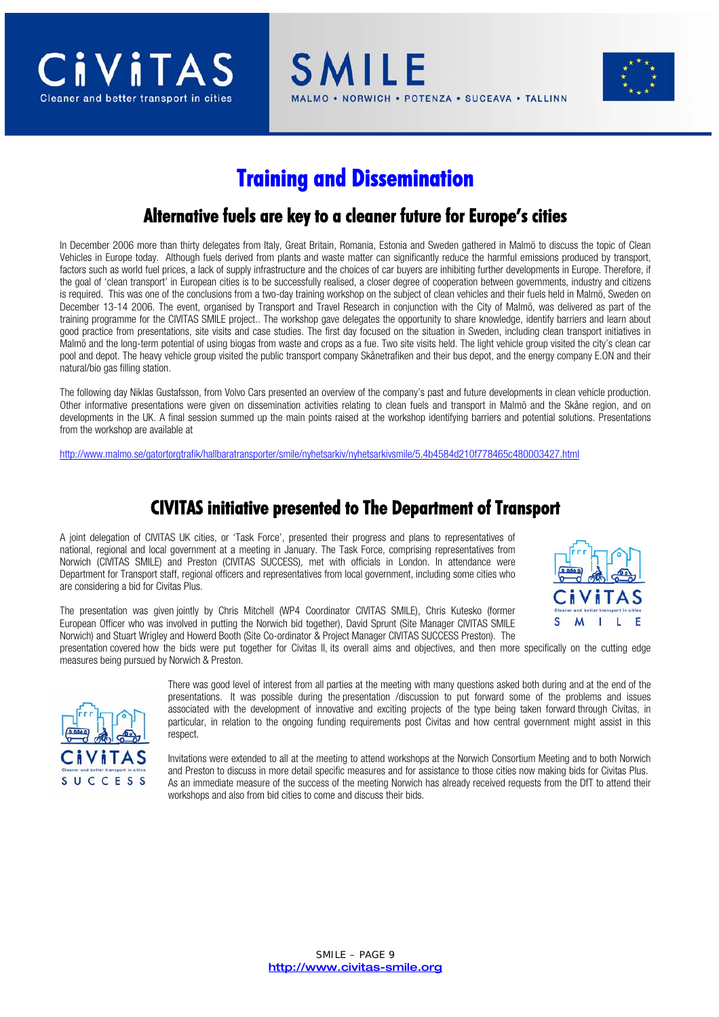

SMILE **VORWICH • POTENZA • SUCEAVA • TALLINN** 



### **Training and Dissemination**

#### **Alternative fuels are key to a cleaner future for Europe's cities**

In December 2006 more than thirty delegates from Italy, Great Britain, Romania, Estonia and Sweden gathered in Malmö to discuss the topic of Clean Vehicles in Europe today. Although fuels derived from plants and waste matter can significantly reduce the harmful emissions produced by transport, factors such as world fuel prices, a lack of supply infrastructure and the choices of car buyers are inhibiting further developments in Europe. Therefore, if the goal of 'clean transport' in European cities is to be successfully realised, a closer degree of cooperation between governments, industry and citizens is required. This was one of the conclusions from a two-day training workshop on the subject of clean vehicles and their fuels held in Malmö, Sweden on December 13-14 2006. The event, organised by Transport and Travel Research in conjunction with the City of Malmö, was delivered as part of the training programme for the CIVITAS SMILE project.. The workshop gave delegates the opportunity to share knowledge, identify barriers and learn about good practice from presentations, site visits and case studies. The first day focused on the situation in Sweden, including clean transport initiatives in Malmö and the long-term potential of using biogas from waste and crops as a fue. Two site visits held. The light vehicle group visited the city's clean car pool and depot. The heavy vehicle group visited the public transport company Skånetrafiken and their bus depot, and the energy company E.ON and their natural/bio gas filling station.

The following day Niklas Gustafsson, from Volvo Cars presented an overview of the company's past and future developments in clean vehicle production. Other informative presentations were given on dissemination activities relating to clean fuels and transport in Malmö and the Skåne region, and on developments in the UK. A final session summed up the main points raised at the workshop identifying barriers and potential solutions. Presentations from the workshop are available at

http://www.malmo.se/gatortorgtrafik/hallbaratransporter/smile/nyhetsarkiv/nyhetsarkivsmile/5.4b4584d210f778465c480003427.html

#### **CIVITAS initiative presented to The Department of Transport**

A joint delegation of CIVITAS UK cities, or 'Task Force', presented their progress and plans to representatives of national, regional and local government at a meeting in January. The Task Force, comprising representatives from Norwich (CIVITAS SMILE) and Preston (CIVITAS SUCCESS), met with officials in London. In attendance were Department for Transport staff, regional officers and representatives from local government, including some cities who are considering a bid for Civitas Plus.



The presentation was given jointly by Chris Mitchell (WP4 Coordinator CIVITAS SMILE), Chris Kutesko (former European Officer who was involved in putting the Norwich bid together), David Sprunt (Site Manager CIVITAS SMILE Norwich) and Stuart Wrigley and Howerd Booth (Site Co-ordinator & Project Manager CIVITAS SUCCESS Preston). The

presentation covered how the bids were put together for Civitas II, its overall aims and objectives, and then more specifically on the cutting edge measures being pursued by Norwich & Preston.



There was good level of interest from all parties at the meeting with many questions asked both during and at the end of the presentations. It was possible during the presentation /discussion to put forward some of the problems and issues associated with the development of innovative and exciting projects of the type being taken forward through Civitas, in particular, in relation to the ongoing funding requirements post Civitas and how central government might assist in this respect.

Invitations were extended to all at the meeting to attend workshops at the Norwich Consortium Meeting and to both Norwich and Preston to discuss in more detail specific measures and for assistance to those cities now making bids for Civitas Plus. As an immediate measure of the success of the meeting Norwich has already received requests from the DfT to attend their workshops and also from bid cities to come and discuss their bids.